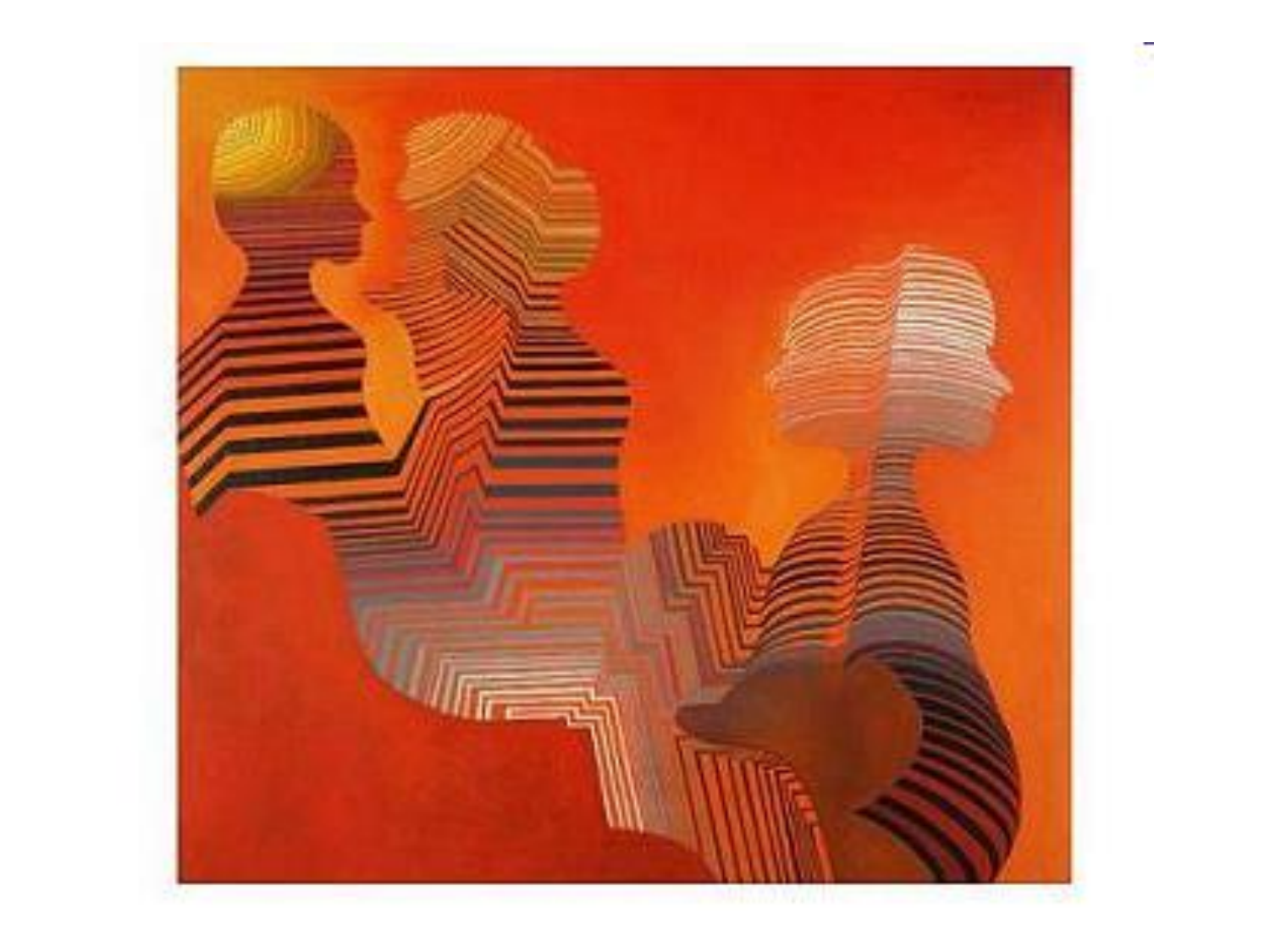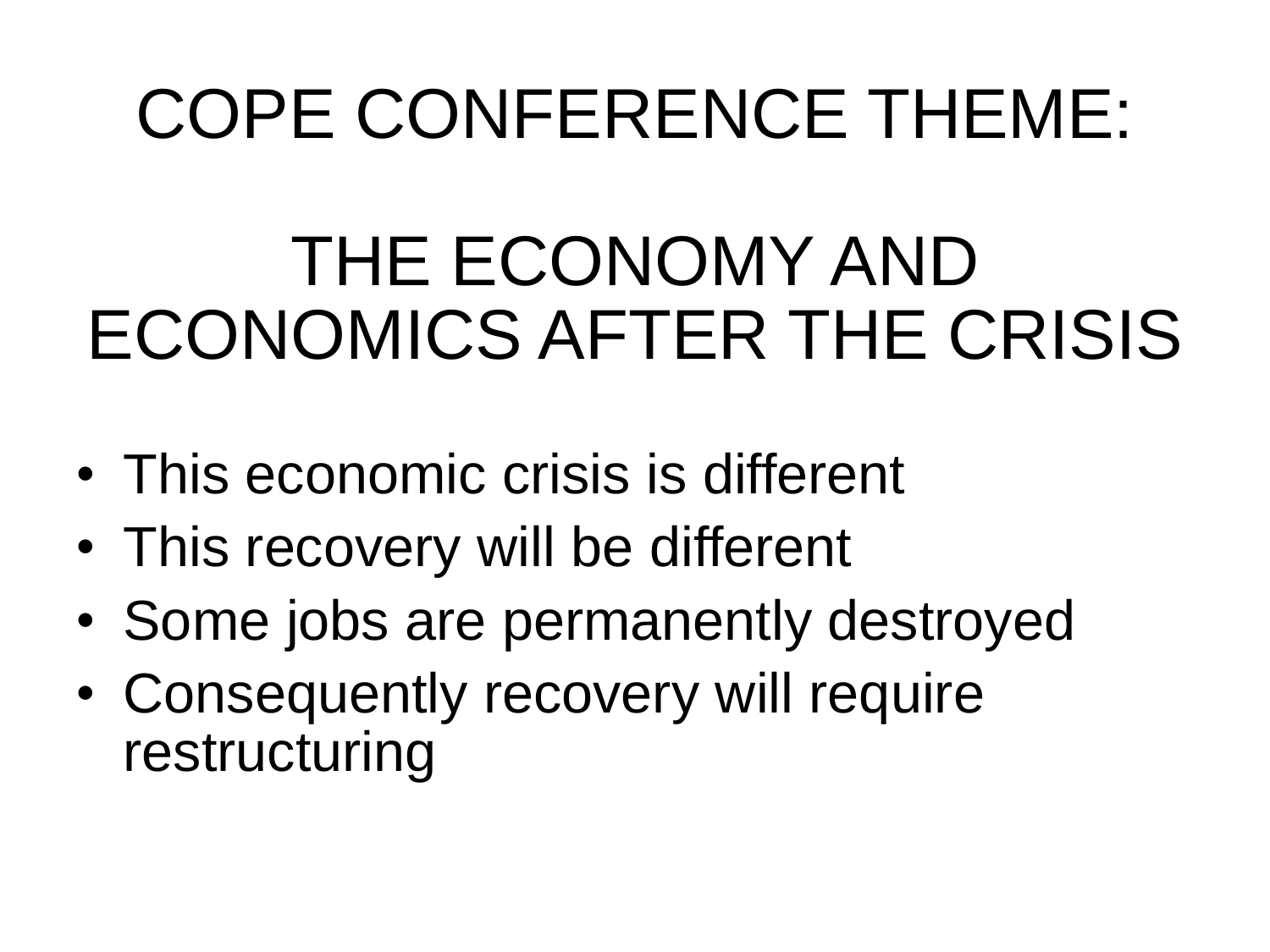# COPE CONFERENCE THEME:

## THE ECONOMY AND ECONOMICS AFTER THE CRISIS

- This economic crisis is different
- This recovery will be different
- Some jobs are permanently destroyed
- Consequently recovery will require restructuring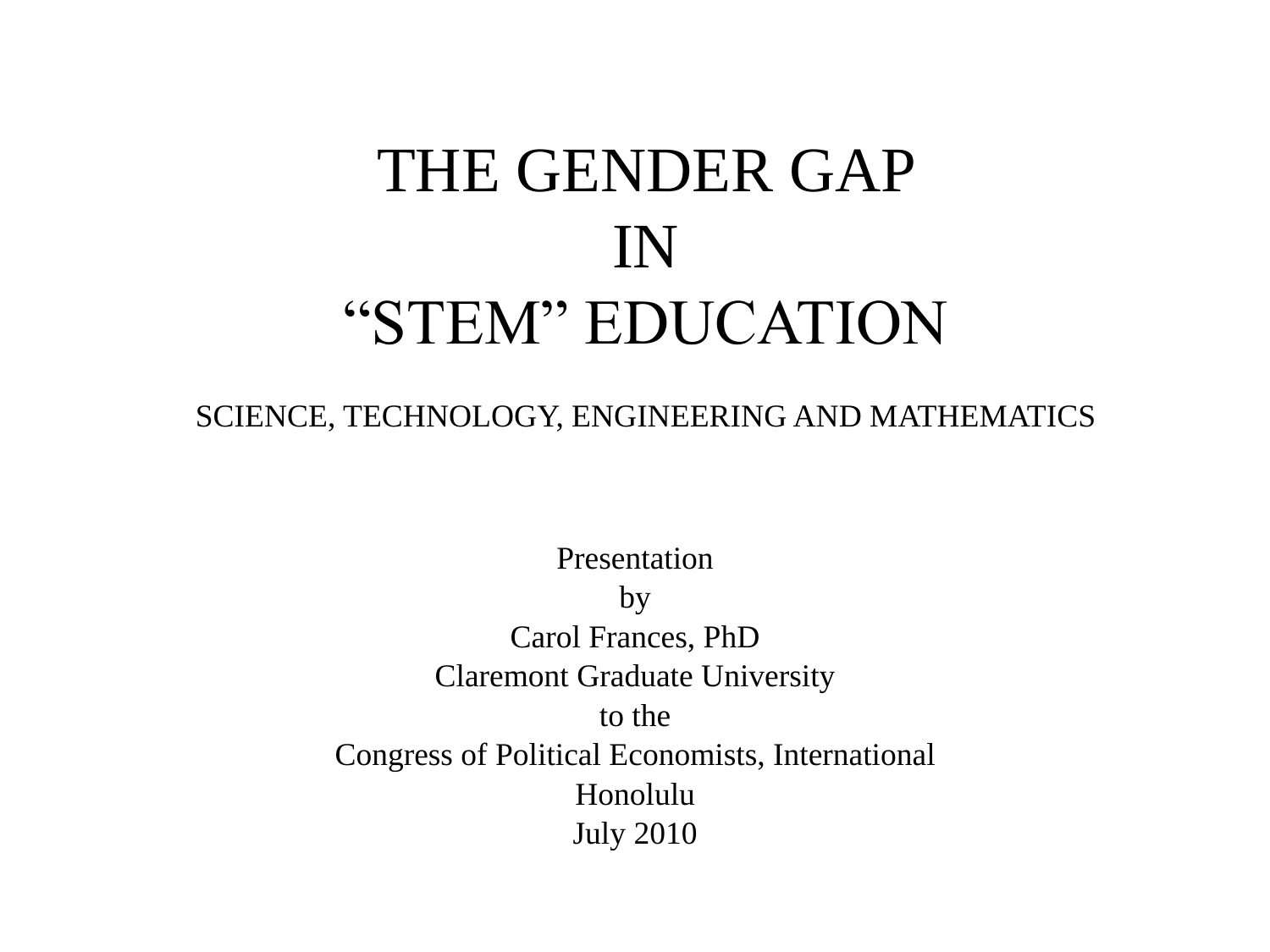## THE GENDER GAP IN "STEM" EDUCATION

## SCIENCE, TECHNOLOGY, ENGINEERING AND MATHEMATICS

Presentation by Carol Frances, PhD Claremont Graduate University to the Congress of Political Economists, International Honolulu July 2010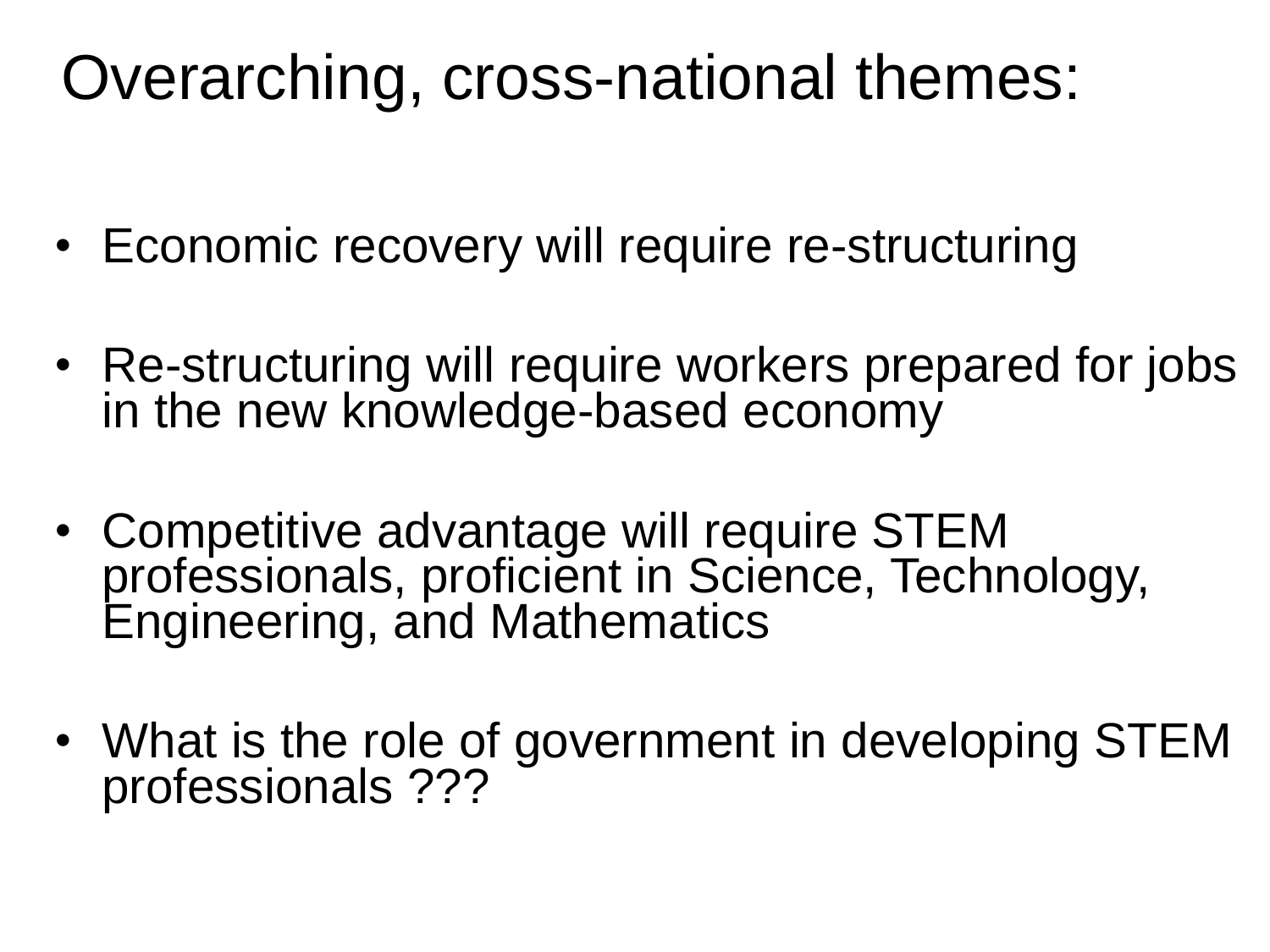## Overarching, cross-national themes:

- Economic recovery will require re-structuring
- Re-structuring will require workers prepared for jobs in the new knowledge-based economy
- Competitive advantage will require STEM professionals, proficient in Science, Technology, Engineering, and Mathematics
- What is the role of government in developing STEM professionals ???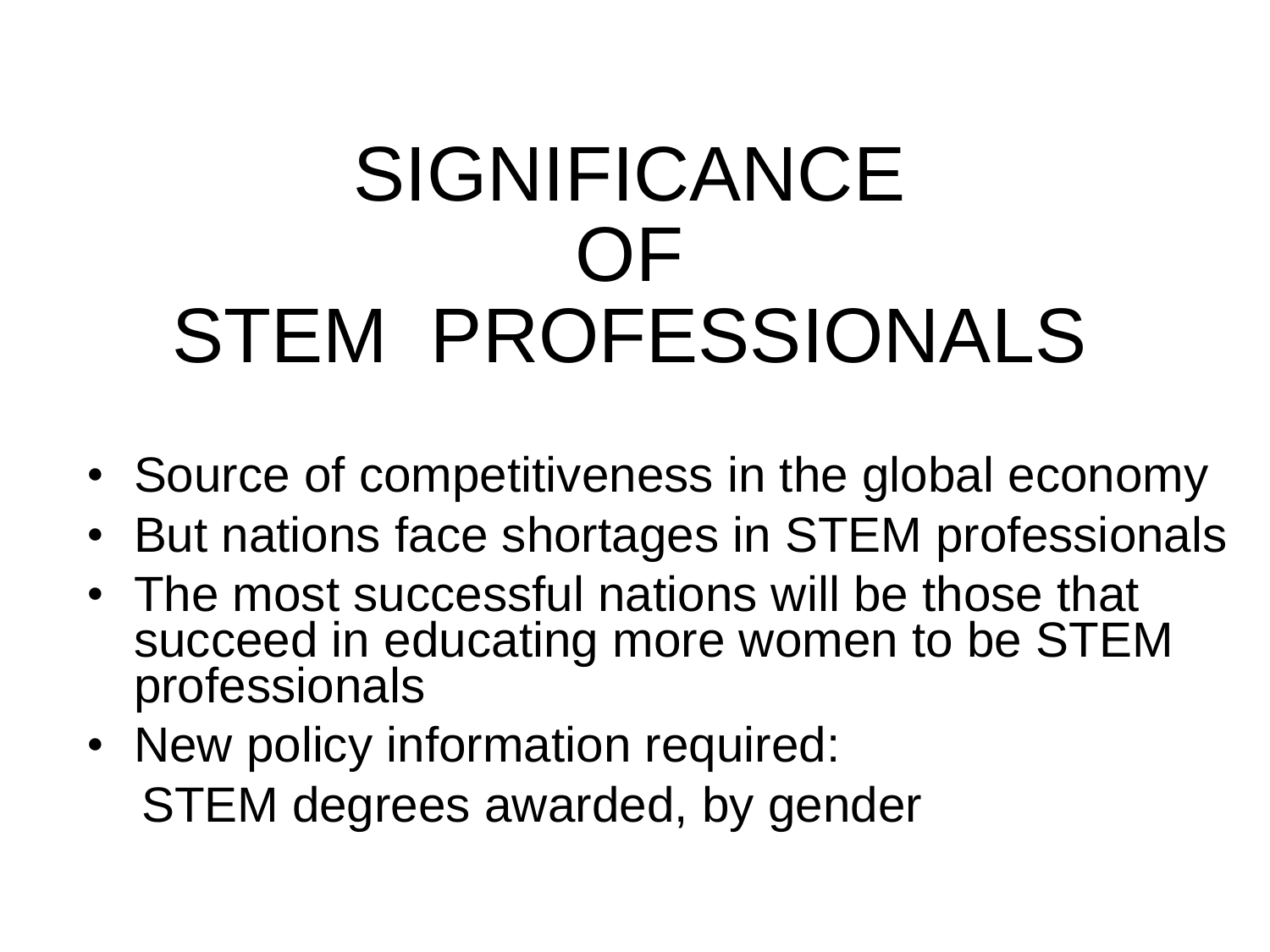# SIGNIFICANCE OF STEM PROFESSIONALS

- Source of competitiveness in the global economy
- But nations face shortages in STEM professionals
- The most successful nations will be those that succeed in educating more women to be STEM professionals
- New policy information required: STEM degrees awarded, by gender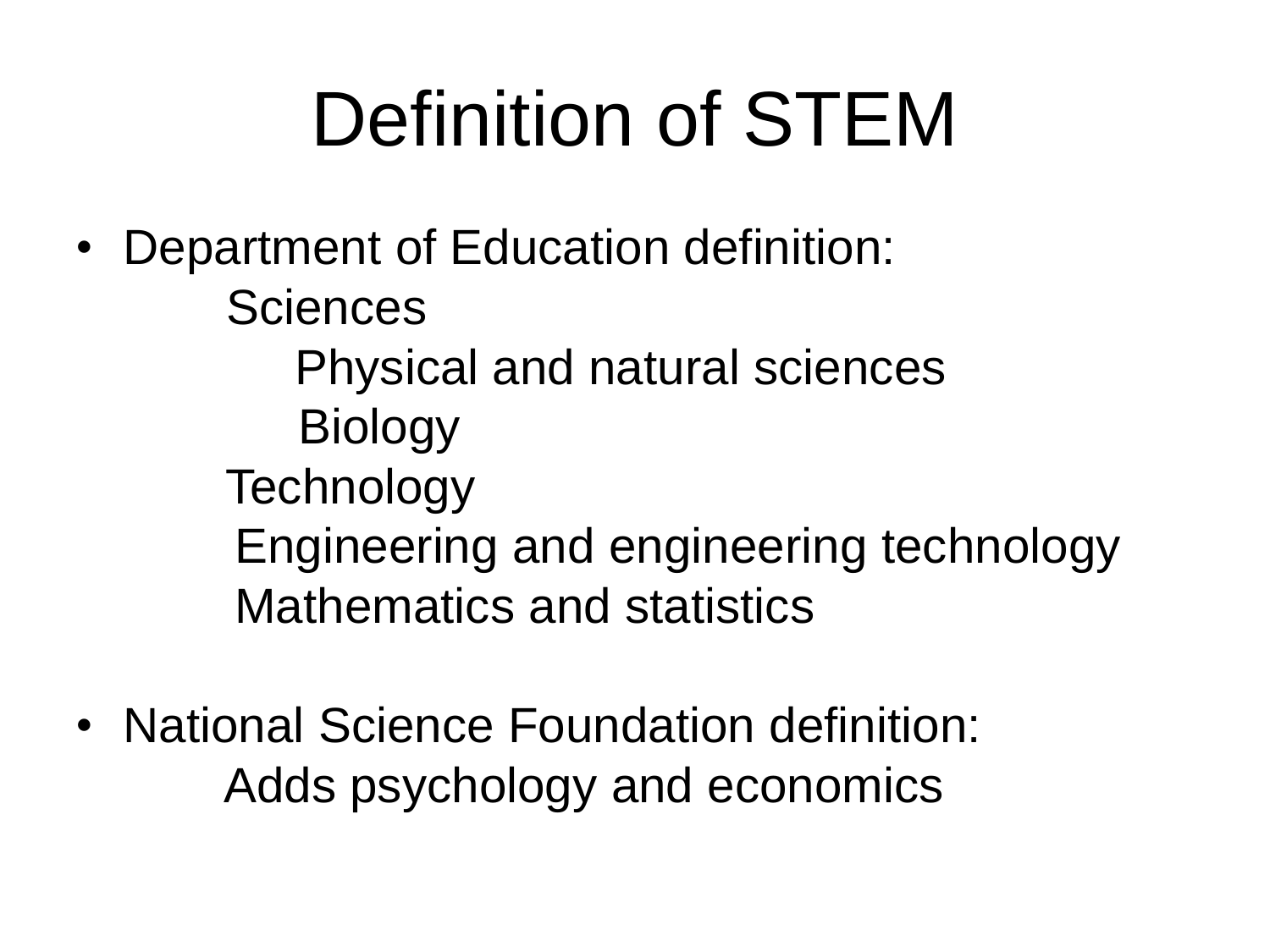# Definition of STEM

- Department of Education definition:
	- **Sciences** 
		- Physical and natural sciences
		- **Biology**
	- **Technology**
	- Engineering and engineering technology Mathematics and statistics
- National Science Foundation definition: Adds psychology and economics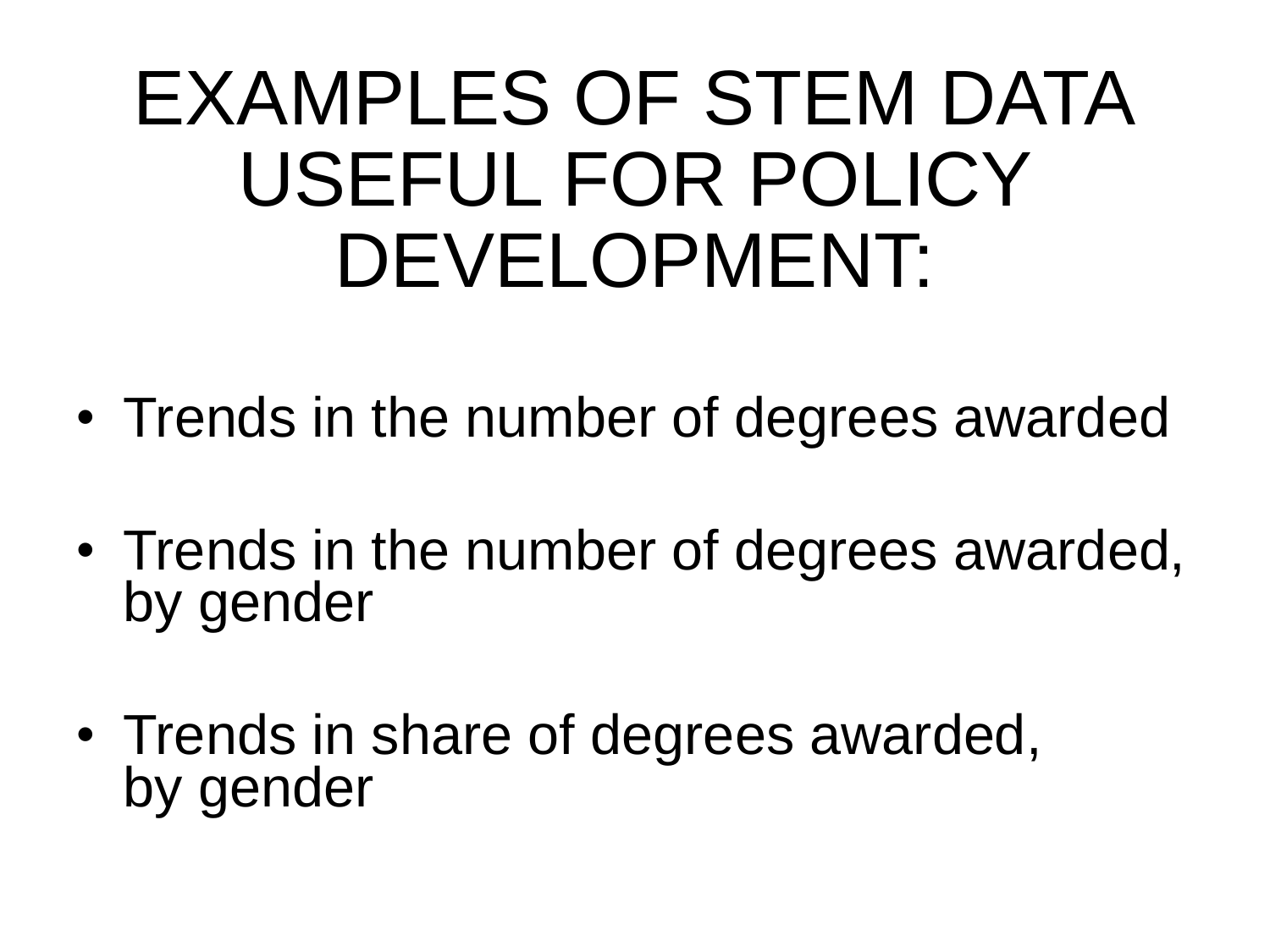# EXAMPLES OF STEM DATA USEFUL FOR POLICY DEVELOPMENT:

- Trends in the number of degrees awarded
- Trends in the number of degrees awarded, by gender
- Trends in share of degrees awarded, by gender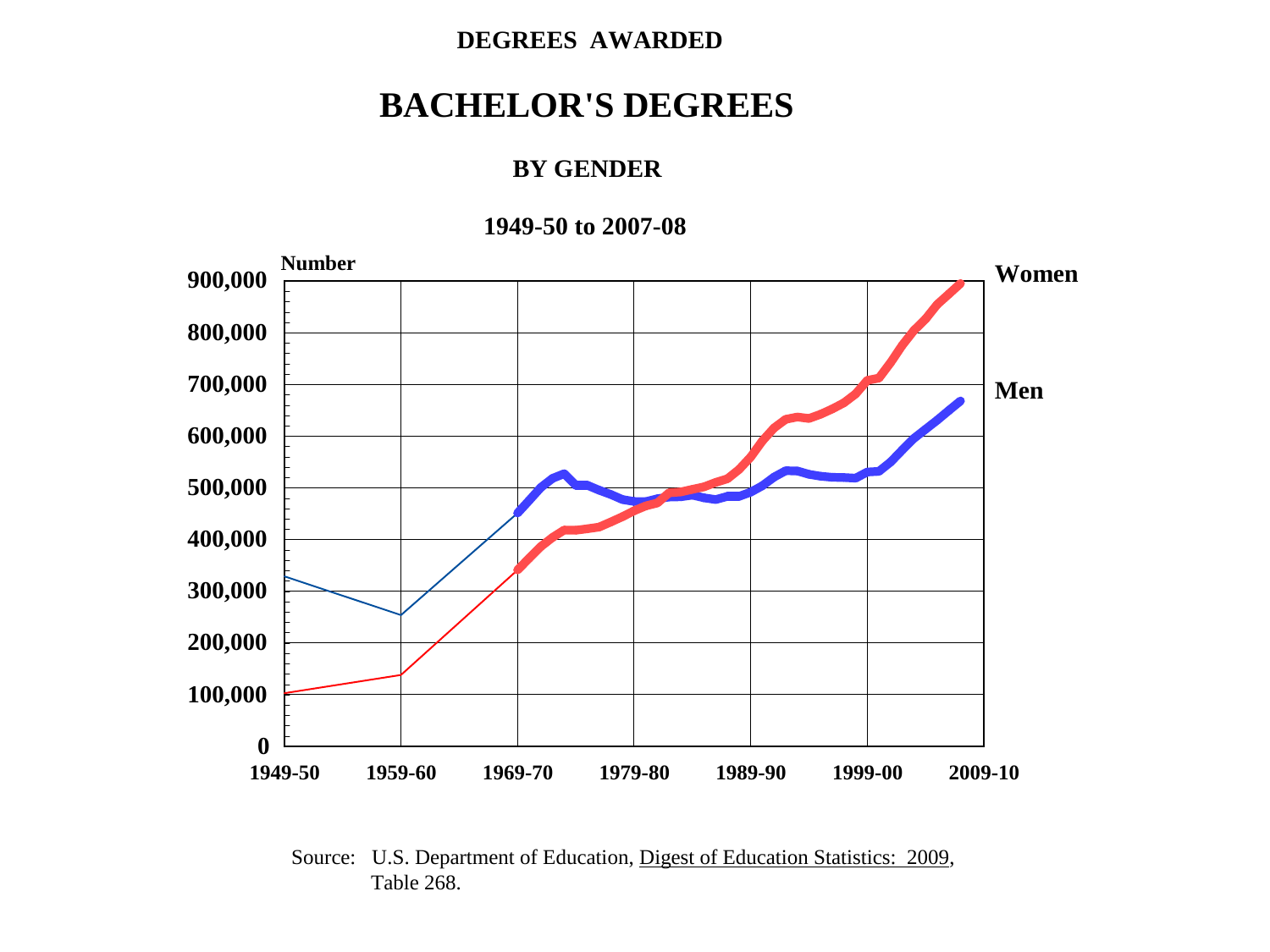#### **DEGREES AWARDED**

## **BACHELOR'S DEGREES**

#### **BY GENDER**

**1949-50 to 2007-08**



Source: U.S. Department of Education, Digest of Education Statistics: 2009, Table 268.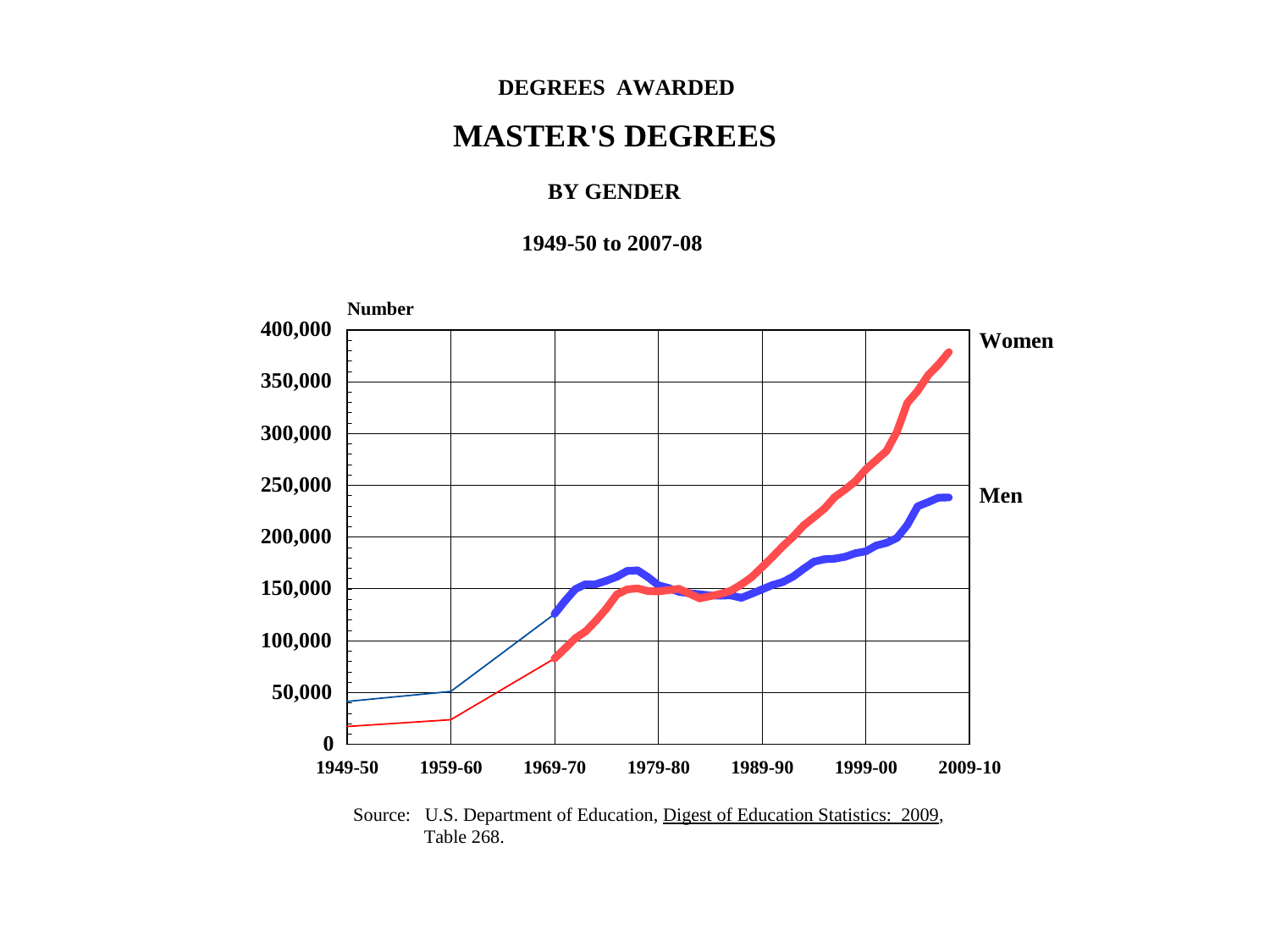#### **DEGREES AWARDED**

### **MASTER'S DEGREES**

#### **BY GENDER**

#### **1949-50 to 2007-08**



Source: U.S. Department of Education, Digest of Education Statistics: 2009, Table 268.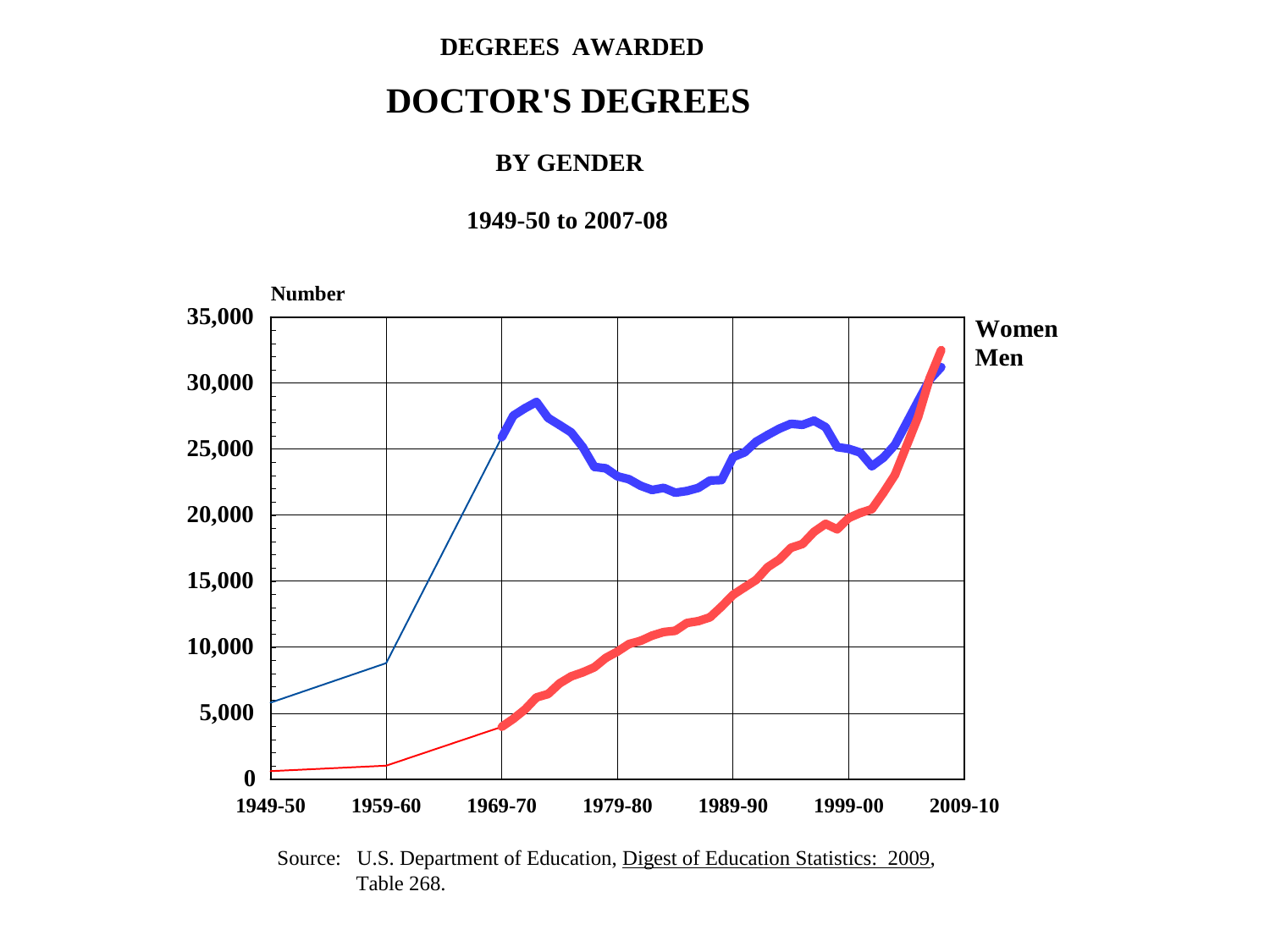#### **DEGREES AWARDED**

## **DOCTOR'S DEGREES**

#### **BY GENDER**

**1949-50 to 2007-08**



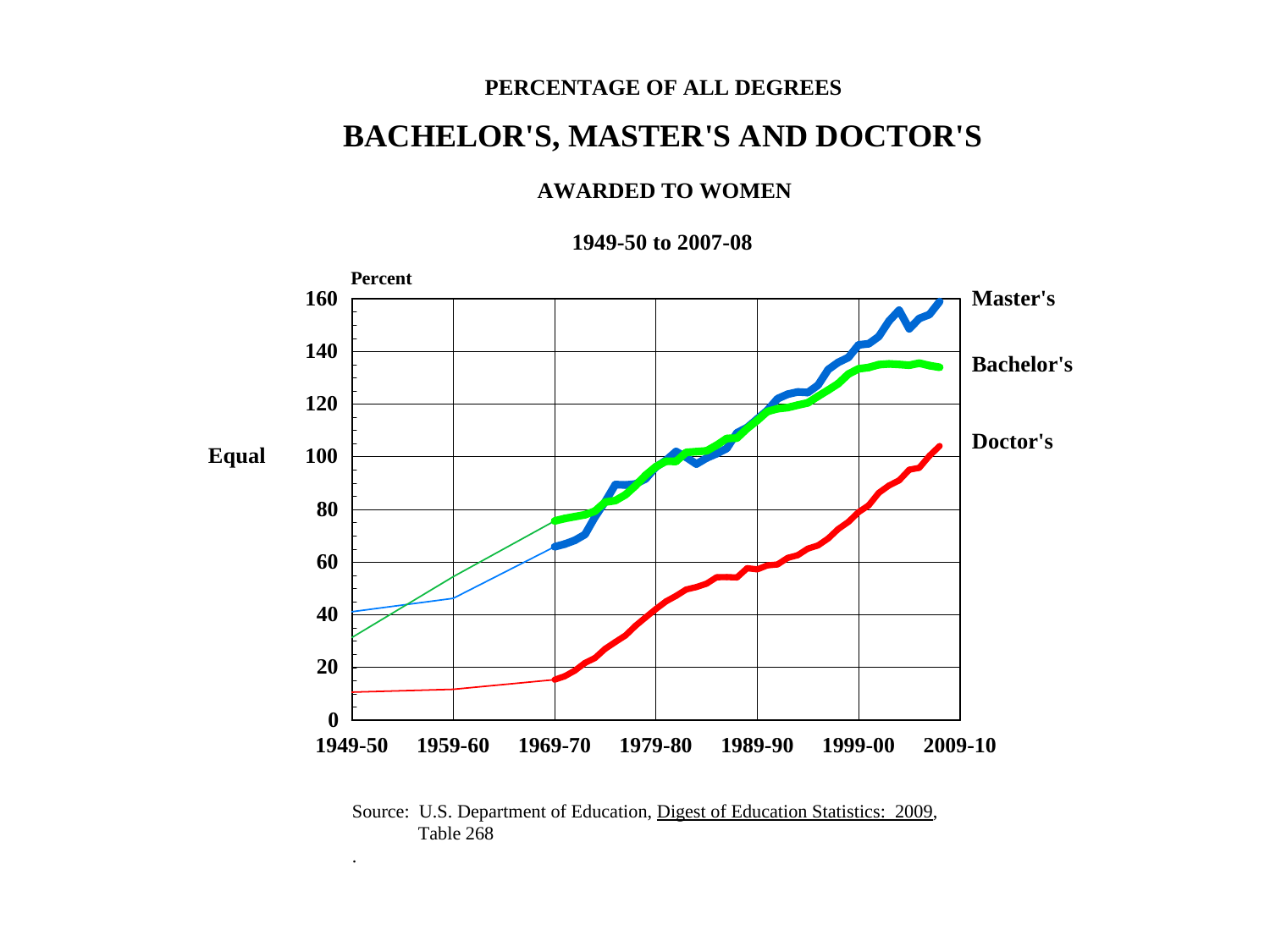#### **PERCENTAGE OF ALL DEGREES**

## **BACHELOR'S, MASTER'S AND DOCTOR'S**

#### **AWARDED TO WOMEN**



**1949-50 to 2007-08**

Source: U.S. Department of Education, Digest of Education Statistics: 2009, Table 268

.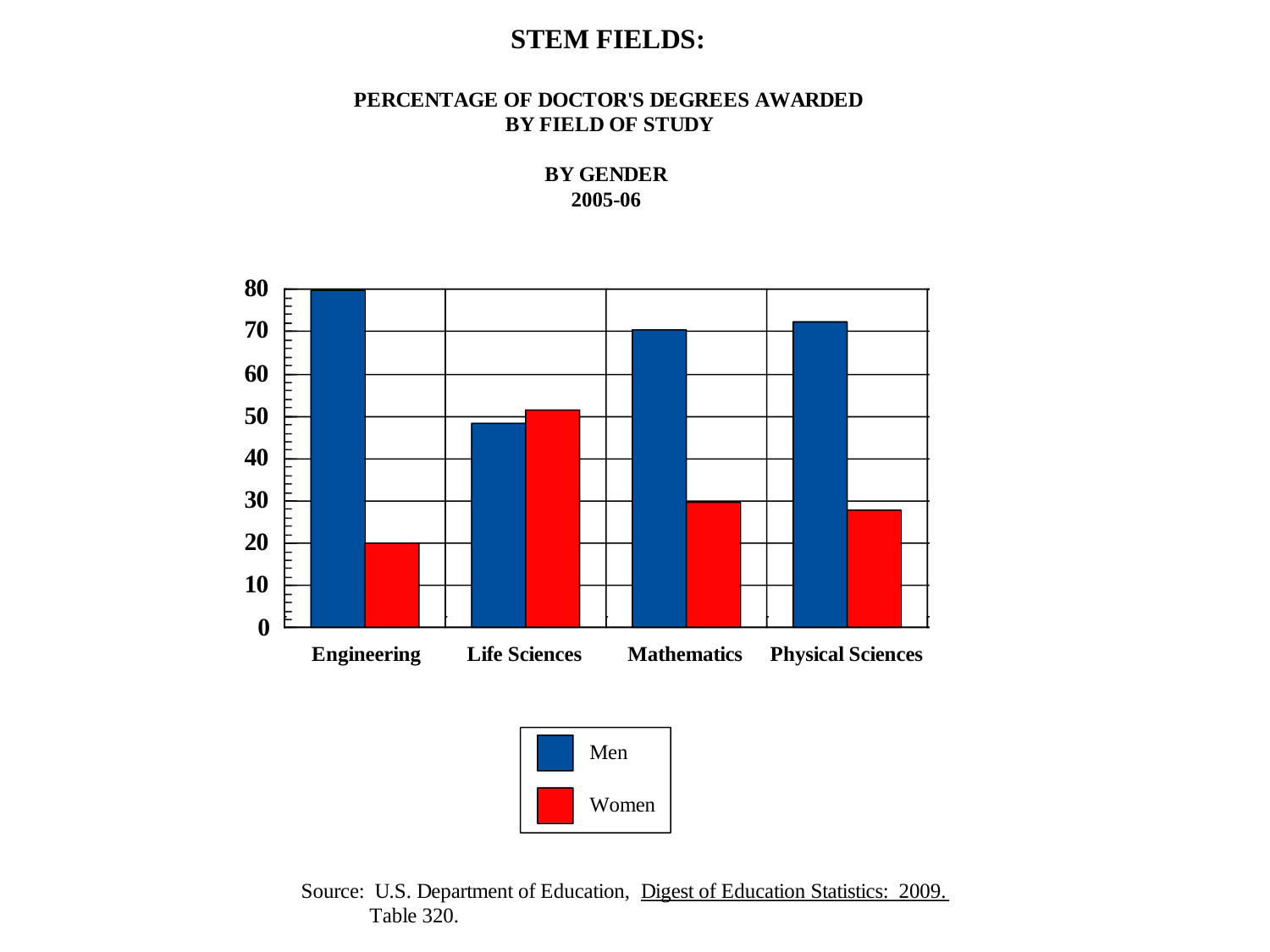#### **STEM FIELDS:**

#### **PERCENTAGE OF DOCTOR'S DEGREES AWARDED BY FIELD OF STUDY**

**BY GENDER 2005-06**



Source: U.S. Department of Education, Digest of Education Statistics: 2009. Table 320.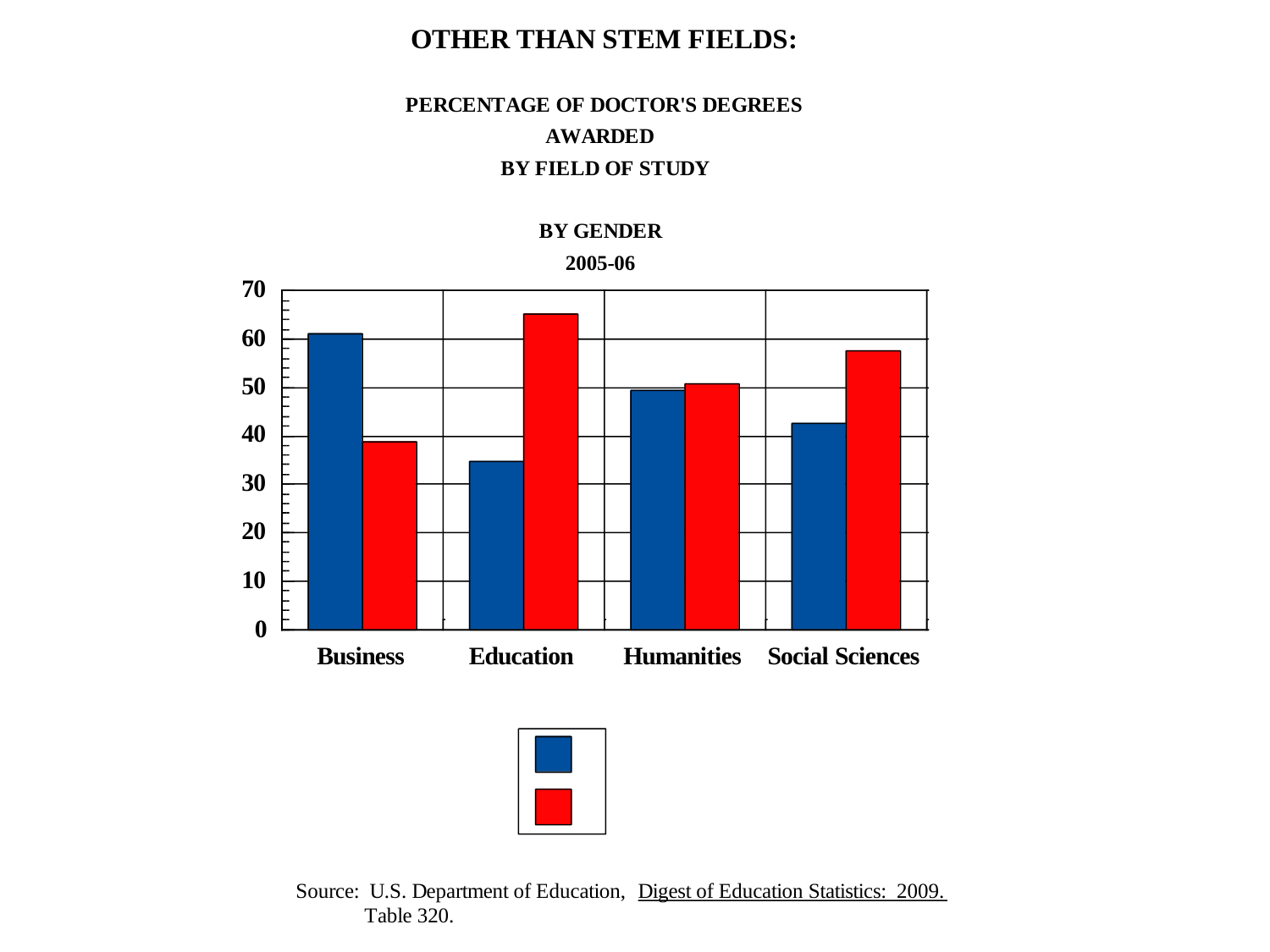### **OTHER THAN STEM FIELDS:**

#### **PERCENTAGE OF DOCTOR'S DEGREES AWARDED BY FIELD OF STUDY**



**2005-06**



Source: U.S. Department of Education, Digest of Education Statistics: 2009. Table 320.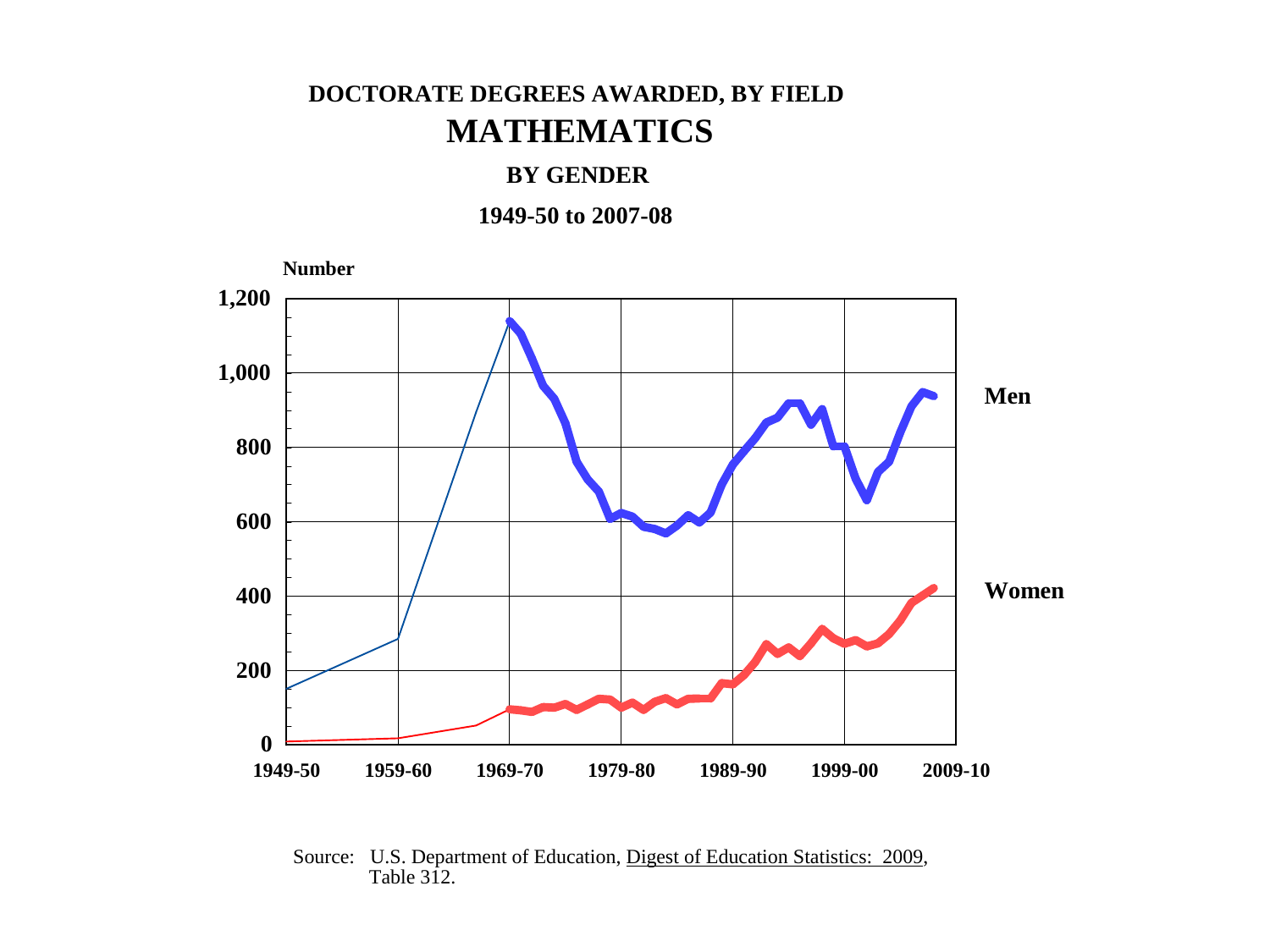## **DOCTORATE DEGREES AWARDED, BY FIELD MATHEMATICS**

#### **BY GENDER**

**1949-50 to 2007-08**



Source: U.S. Department of Education, Digest of Education Statistics: 2009, Table  $312$ .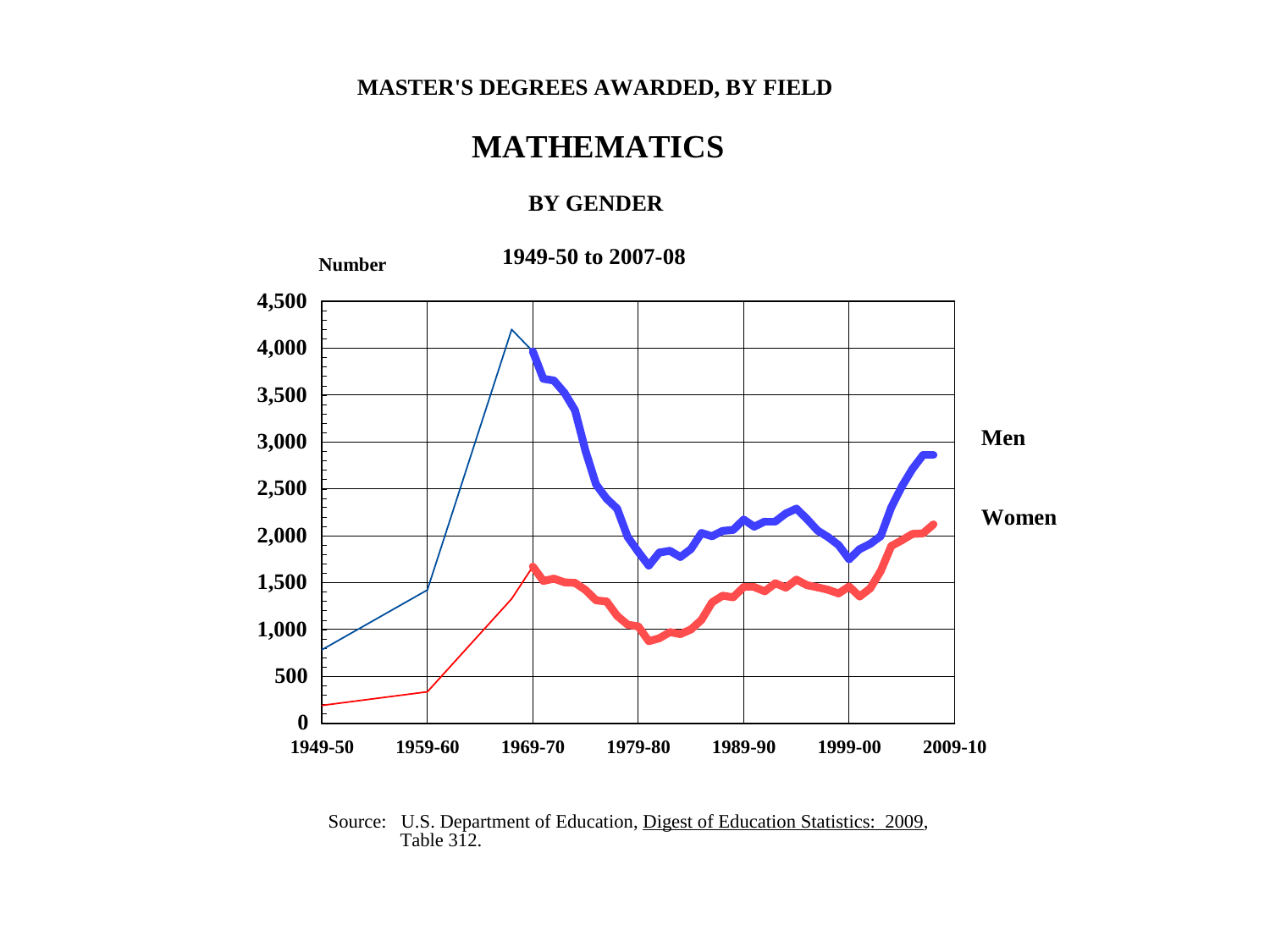#### **MASTER'S DEGREES AWARDED, BY FIELD**

## **MATHEMATICS**

#### **BY GENDER**



Source: U.S. Department of Education, Digest of Education Statistics: 2009, Table  $3\overline{1}2$ .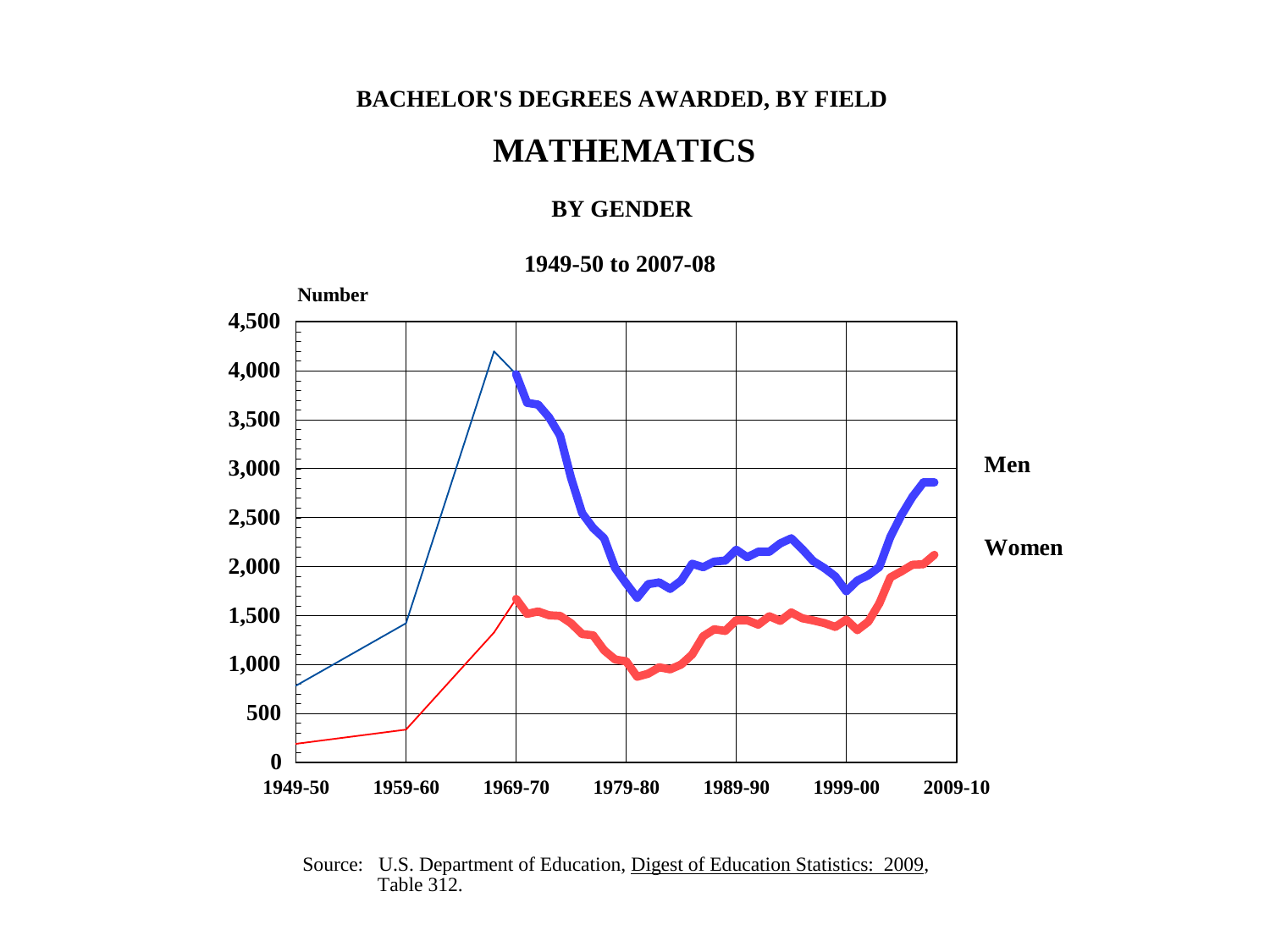#### **BACHELOR'S DEGREES AWARDED, BY FIELD**

### **MATHEMATICS**

#### **BY GENDER**





Source: U.S. Department of Education, Digest of Education Statistics: 2009, Table  $3\overline{1}2$ .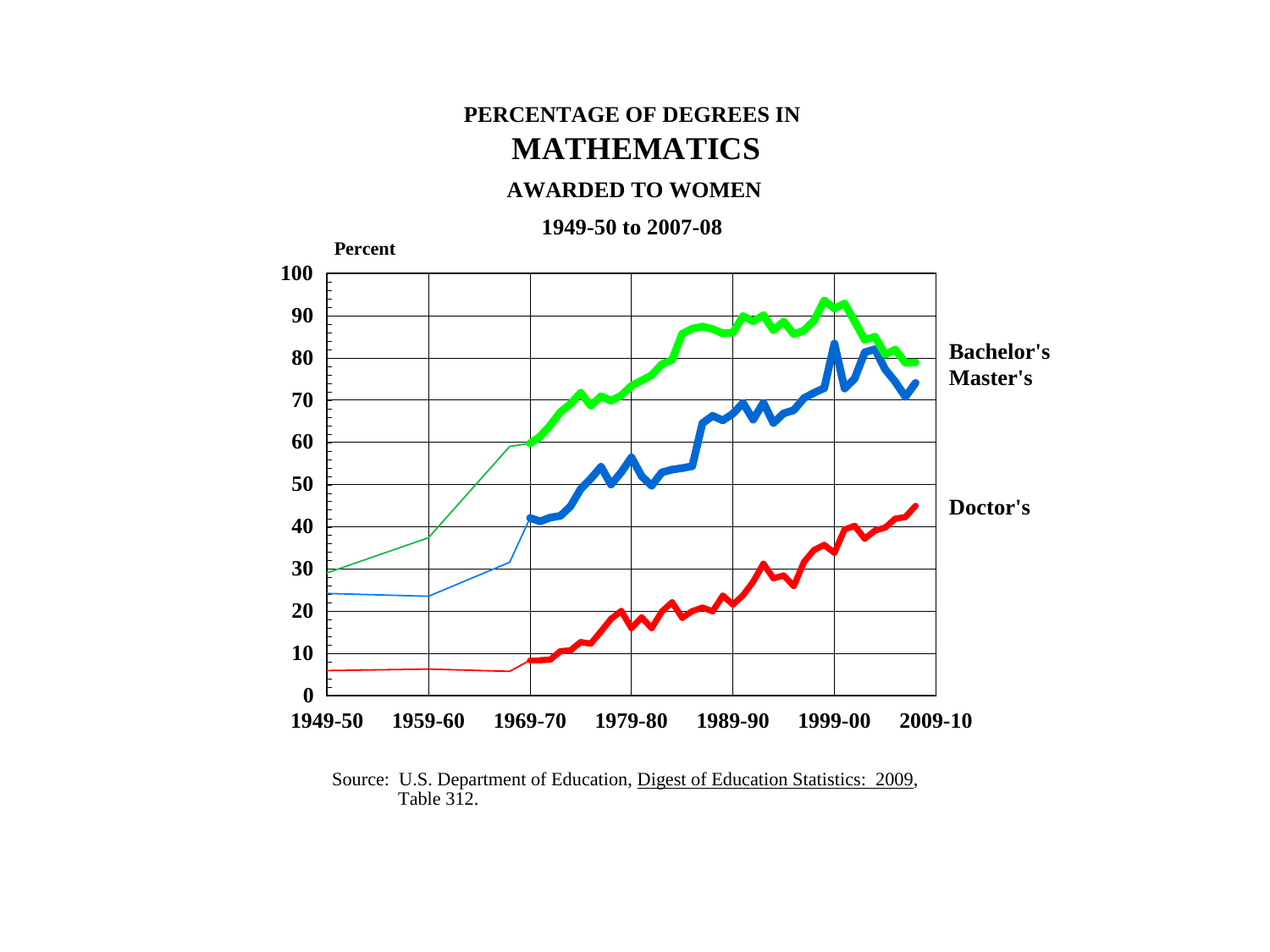### **PERCENTAGE OF DEGREES IN MATHEMATICS**

#### **AWARDED TO WOMEN**

**1949-50 to 2007-08**



Source: U.S. Department of Education, Digest of Education Statistics: 2009, Table  $3\overline{1}2$ .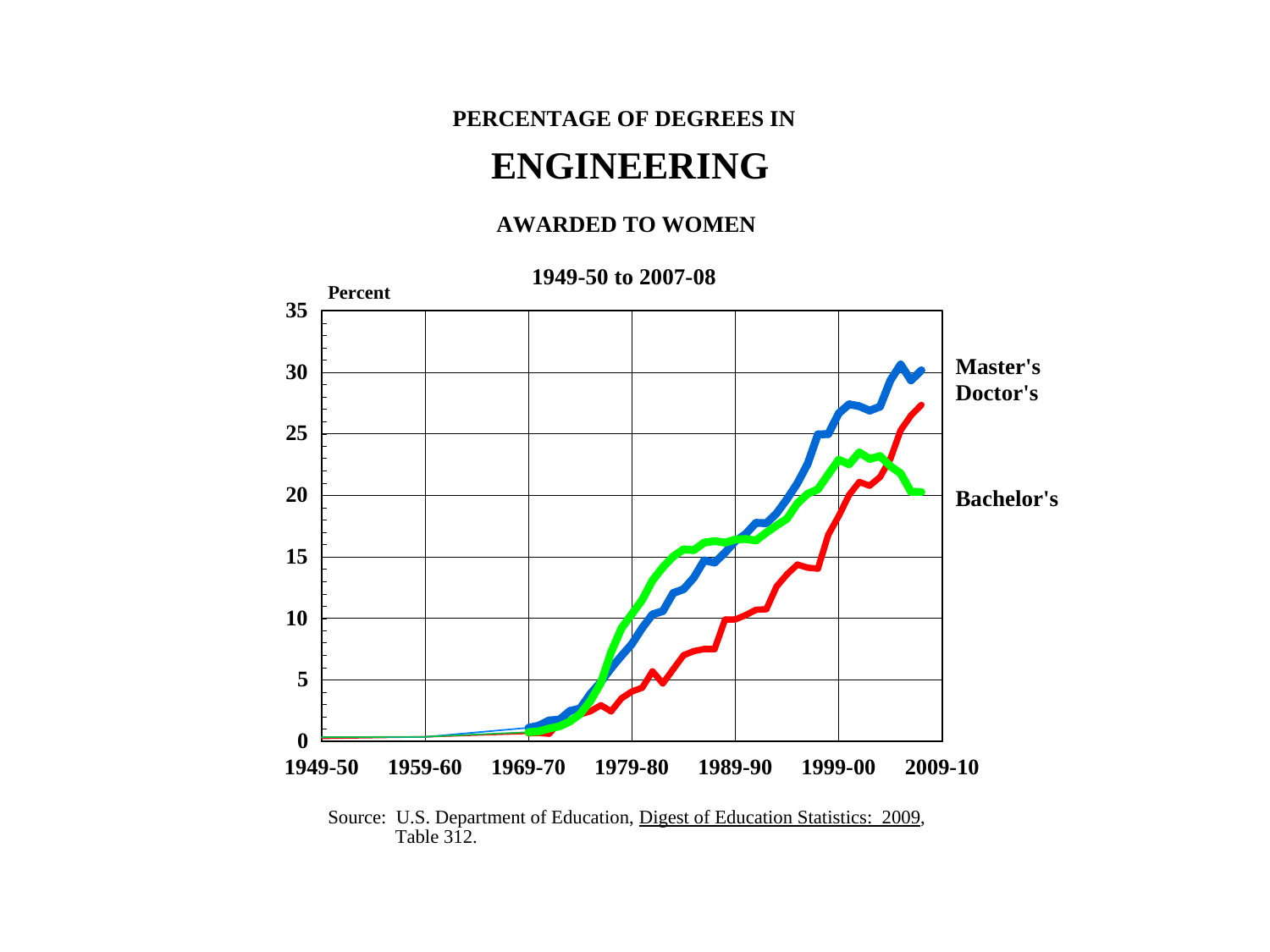#### **PERCENTAGE OF DEGREES IN**

## **ENGINEERING**

#### **AWARDED TO WOMEN**



Table  $3\overline{1}2$ .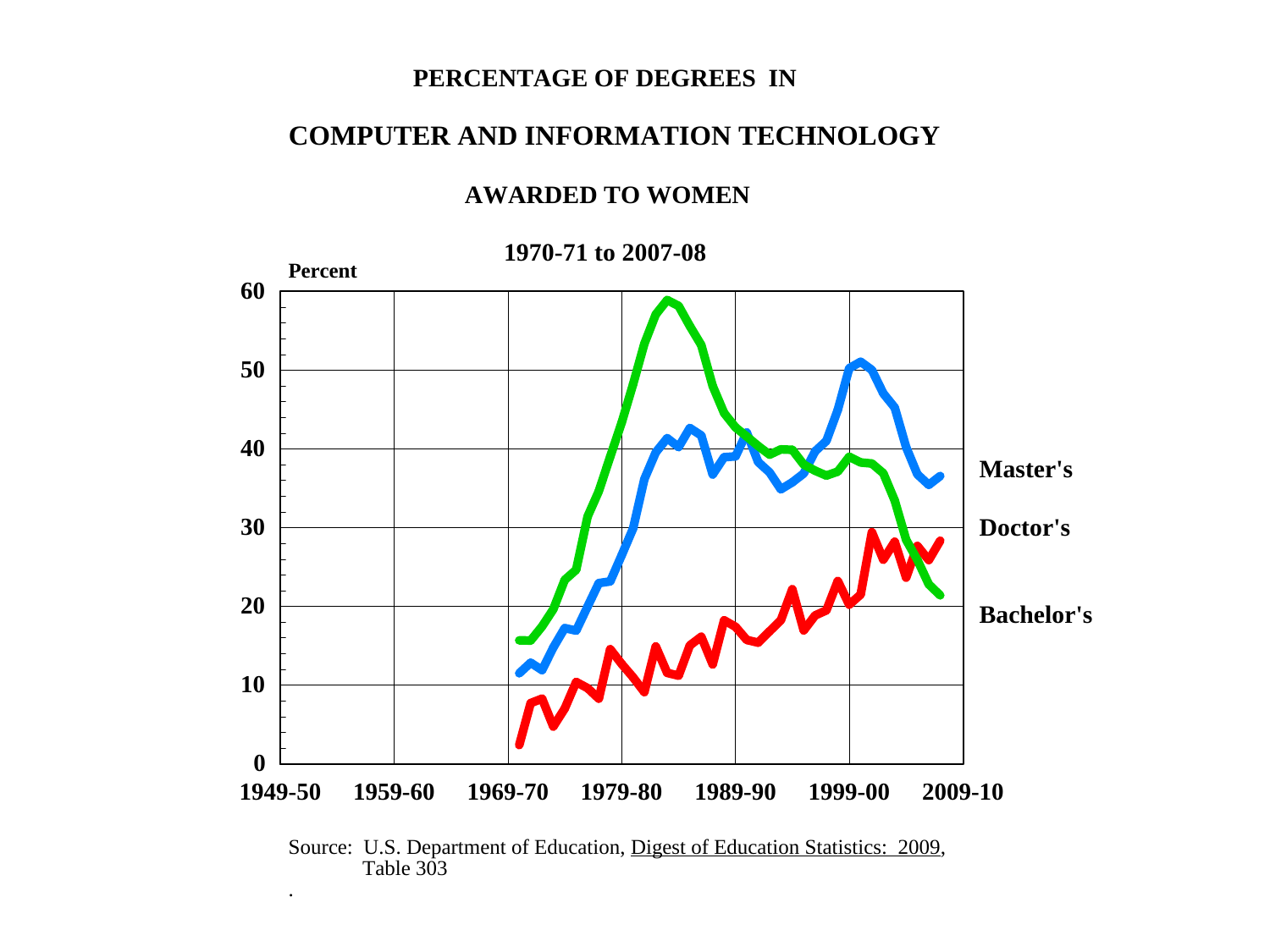#### **PERCENTAGE OF DEGREES IN**

#### **COMPUTER AND INFORMATION TECHNOLOGY**

#### **AWARDED TO WOMEN**



Source: U.S. Department of Education, Digest of Education Statistics: 2009, Table 303

.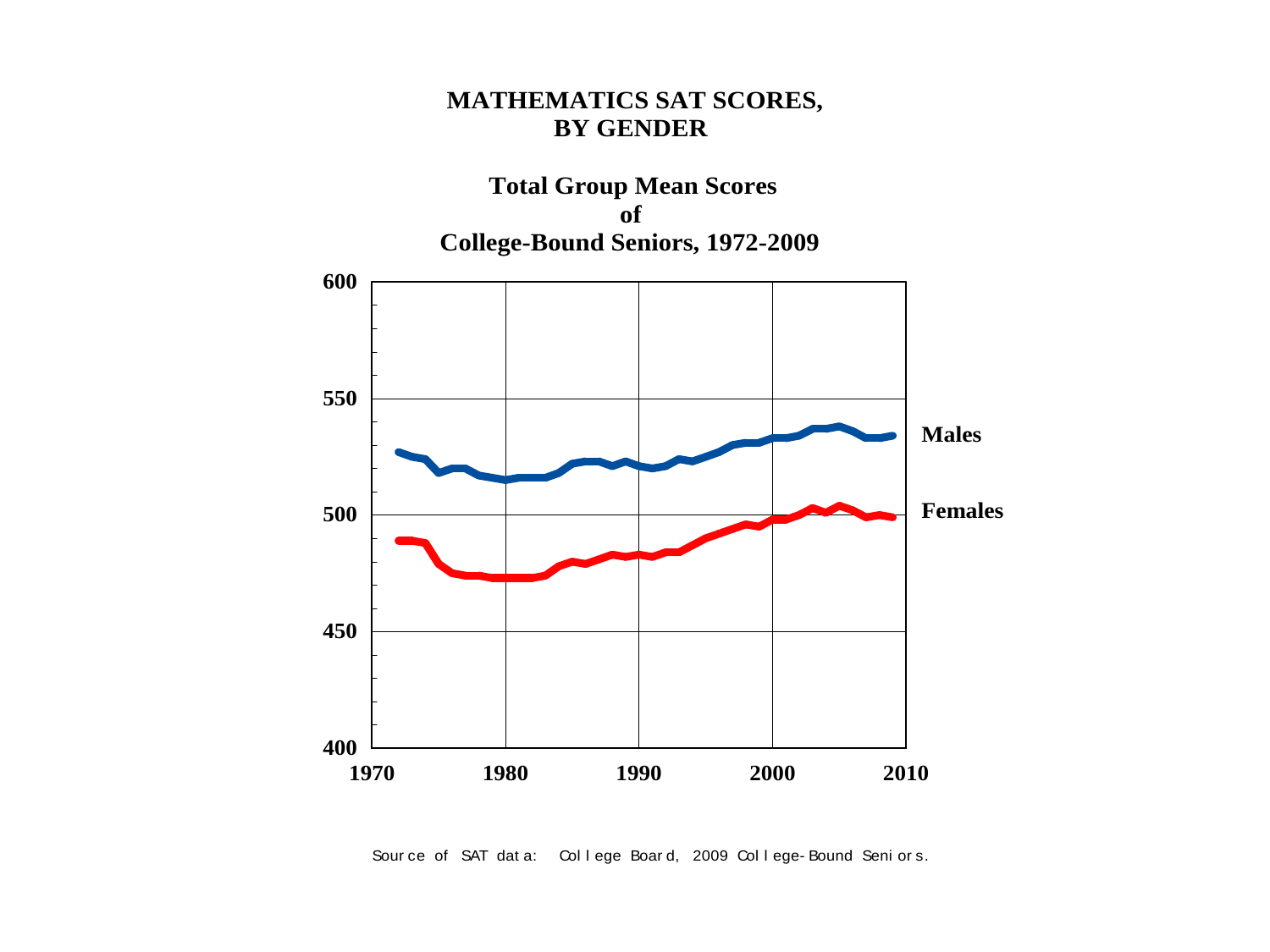#### **MATHEMATICS SAT SCORES, BY GENDER**

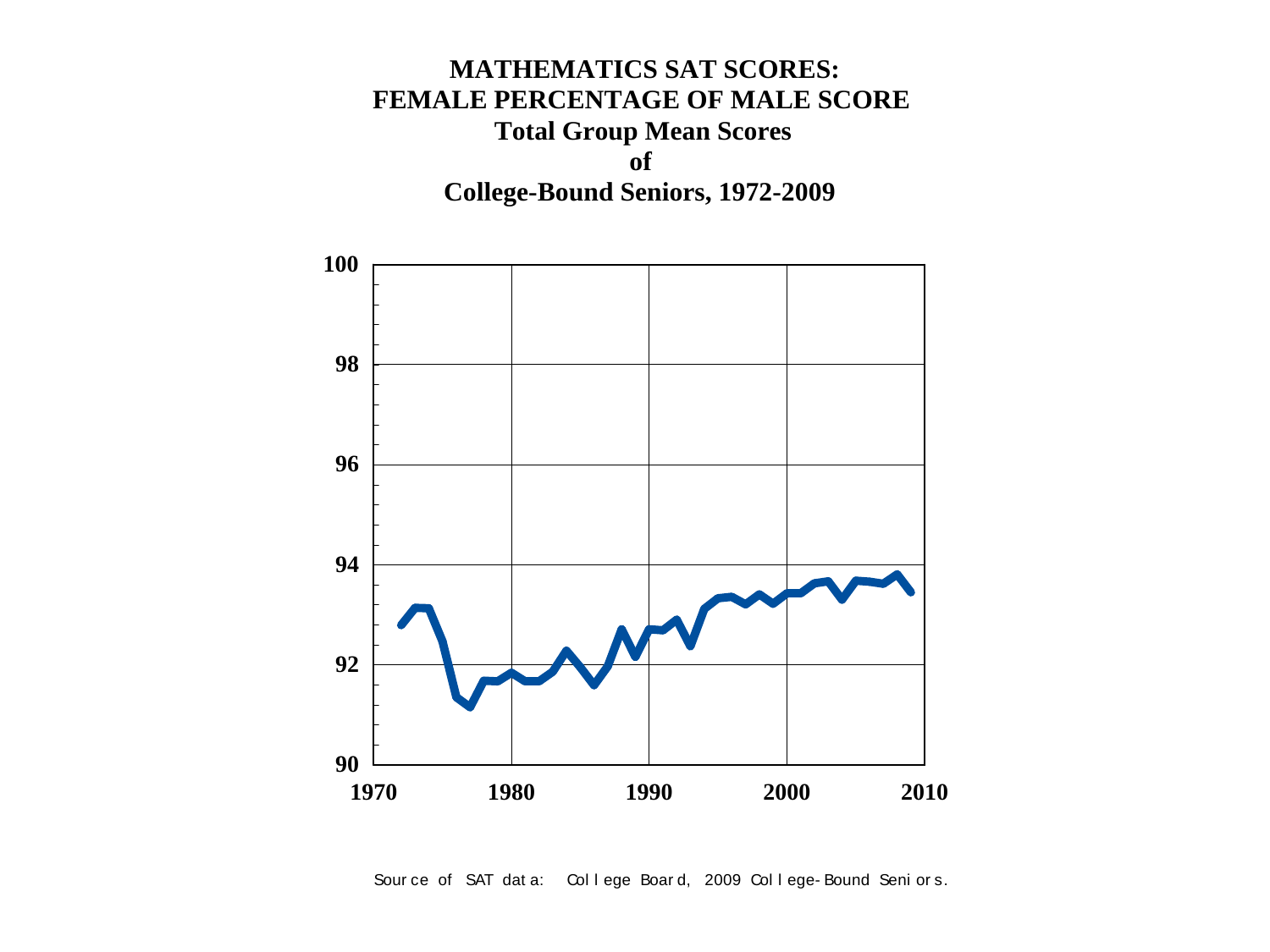### **MATHEMATICS SAT SCORES: FEMALE PERCENTAGE OF MALE SCORE Total Group Mean Scores of College-Bound Seniors, 1972-2009**



Sour ce of SAT dat a: College Board, 2009 College-Bound Seni or s.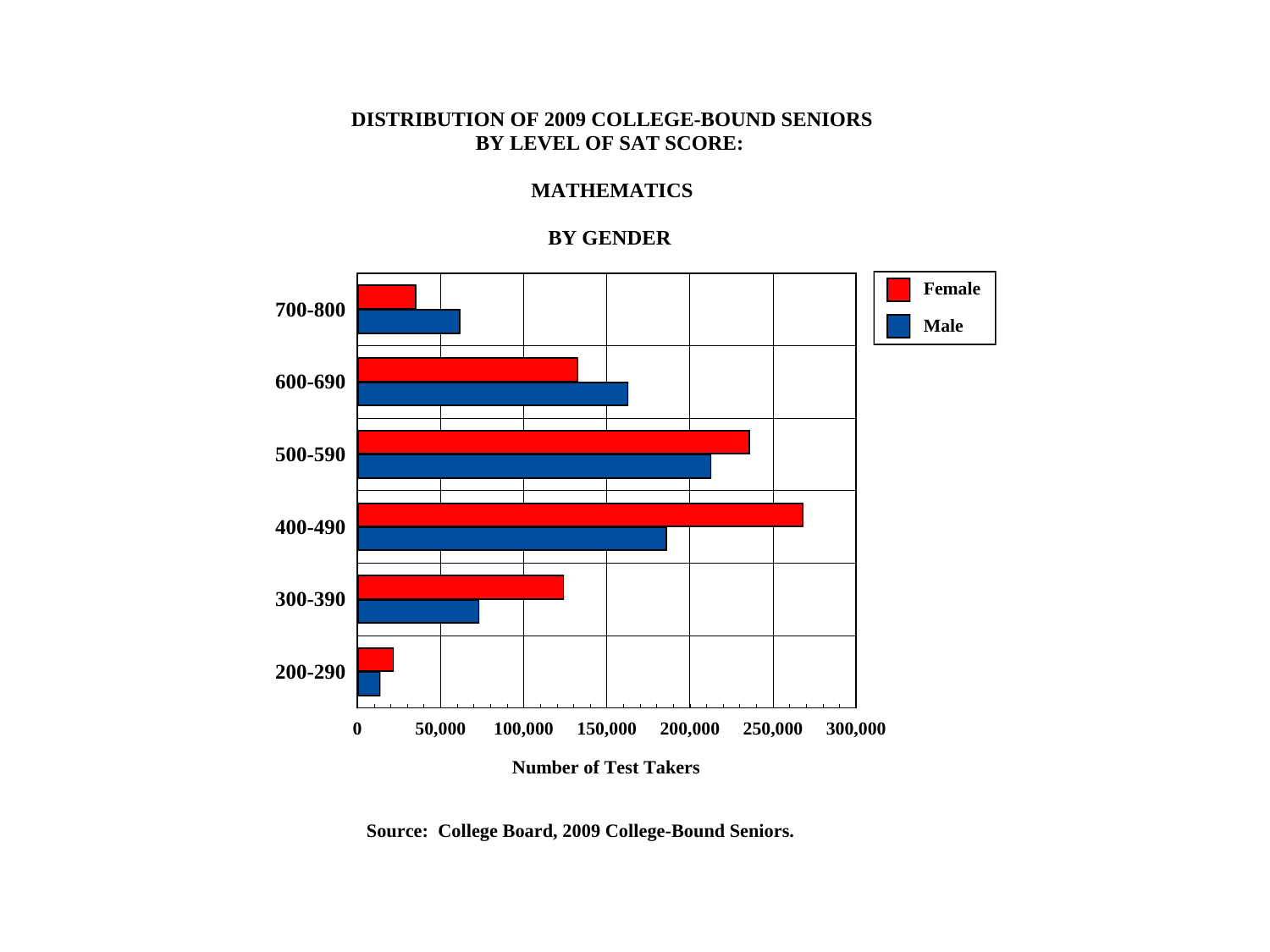#### **DISTRIBUTION OF 2009 COLLEGE-BOUND SENIORS BY LEVEL OF SAT SCORE:**

#### **MATHEMATICS**

#### **BY GENDER**



**Source: College Board, 2009 College-Bound Seniors.**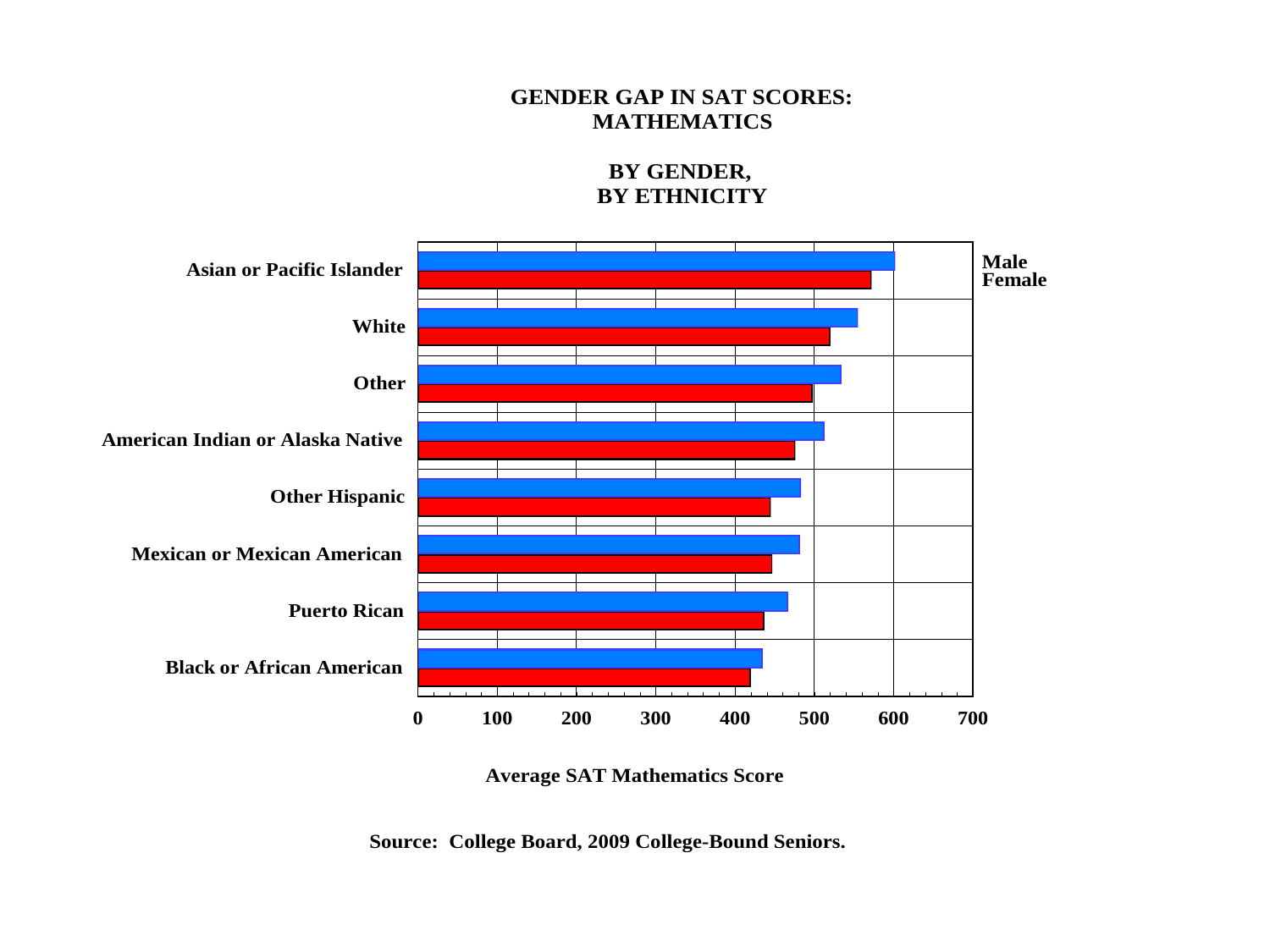#### **GENDER GAP IN SAT SCORES: MATHEMATICS**

#### **BY GENDER, BY ETHNICITY**



**Average SAT Mathematics Score**

**Source: College Board, 2009 College-Bound Seniors.**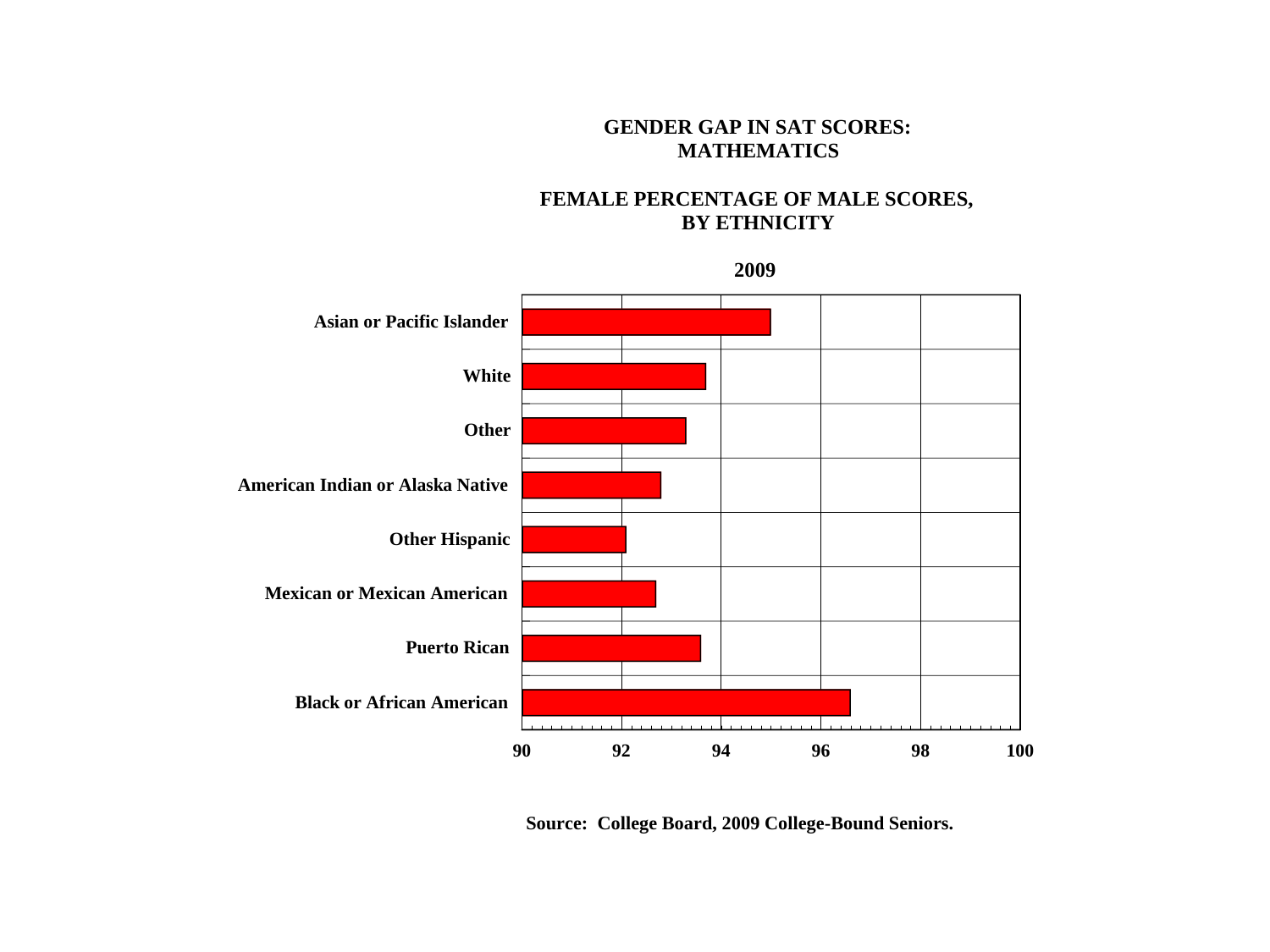#### **GENDER GAP IN SAT SCORES: MATHEMATICS**

#### **FEMALE PERCENTAGE OF MALE SCORES, BY ETHNICITY**



**Source: College Board, 2009 College-Bound Seniors.**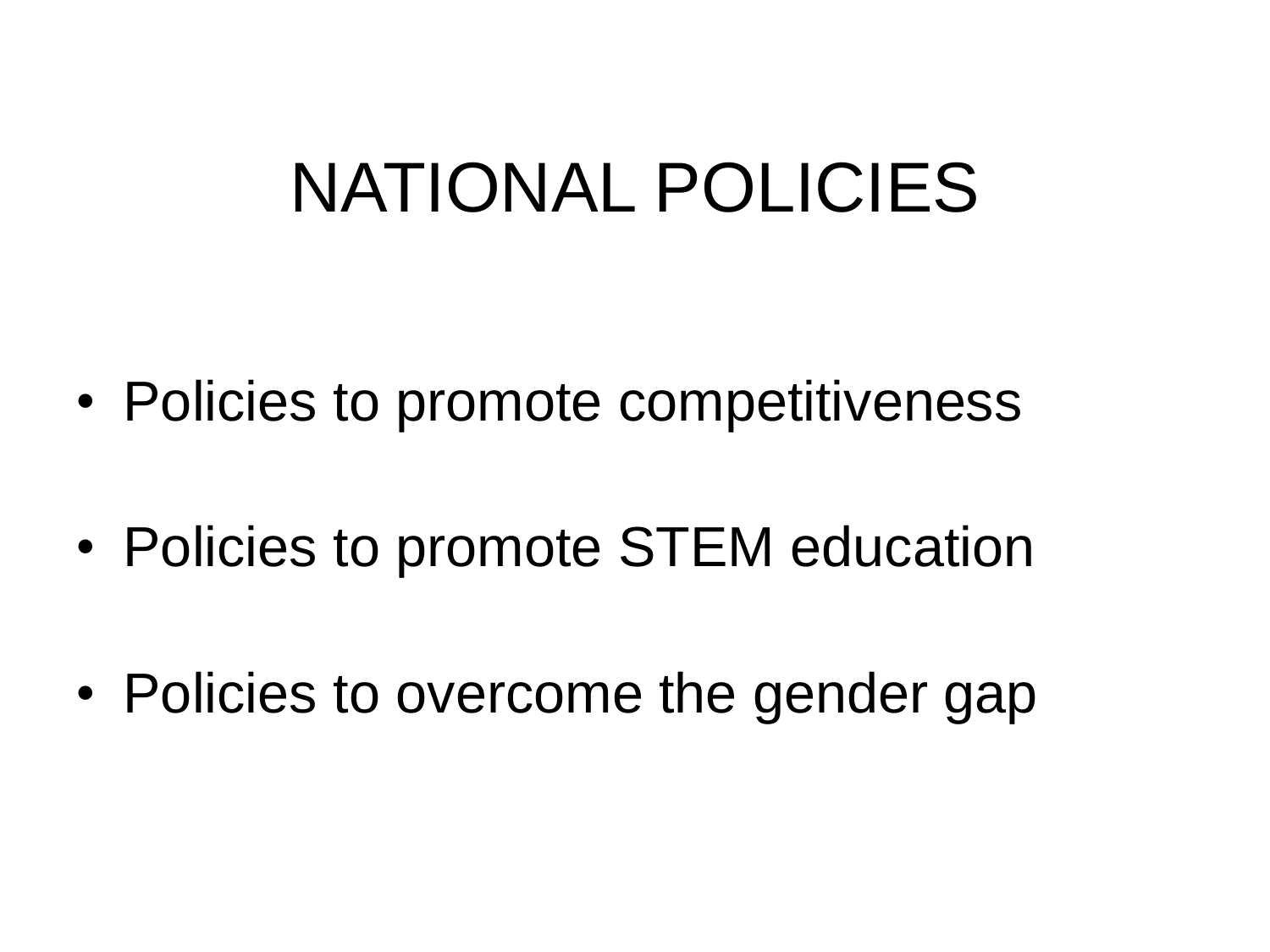## NATIONAL POLICIES

- Policies to promote competitiveness
- Policies to promote STEM education
- Policies to overcome the gender gap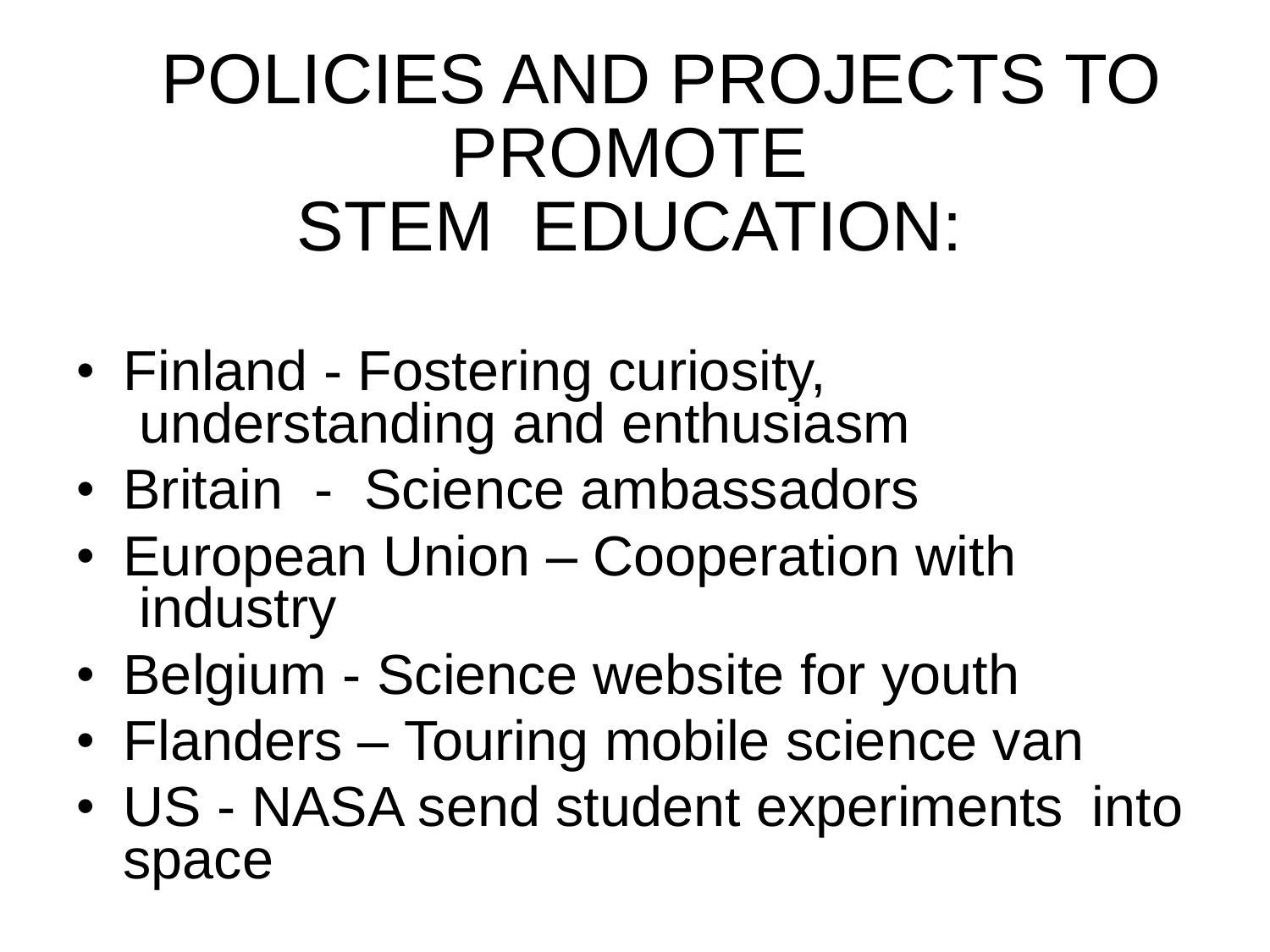## POLICIES AND PROJECTS TO PROMOTE STEM EDUCATION:

- Finland Fostering curiosity, understanding and enthusiasm
- Britain Science ambassadors
- European Union Cooperation with industry
- Belgium Science website for youth
- Flanders Touring mobile science van
- US NASA send student experiments into space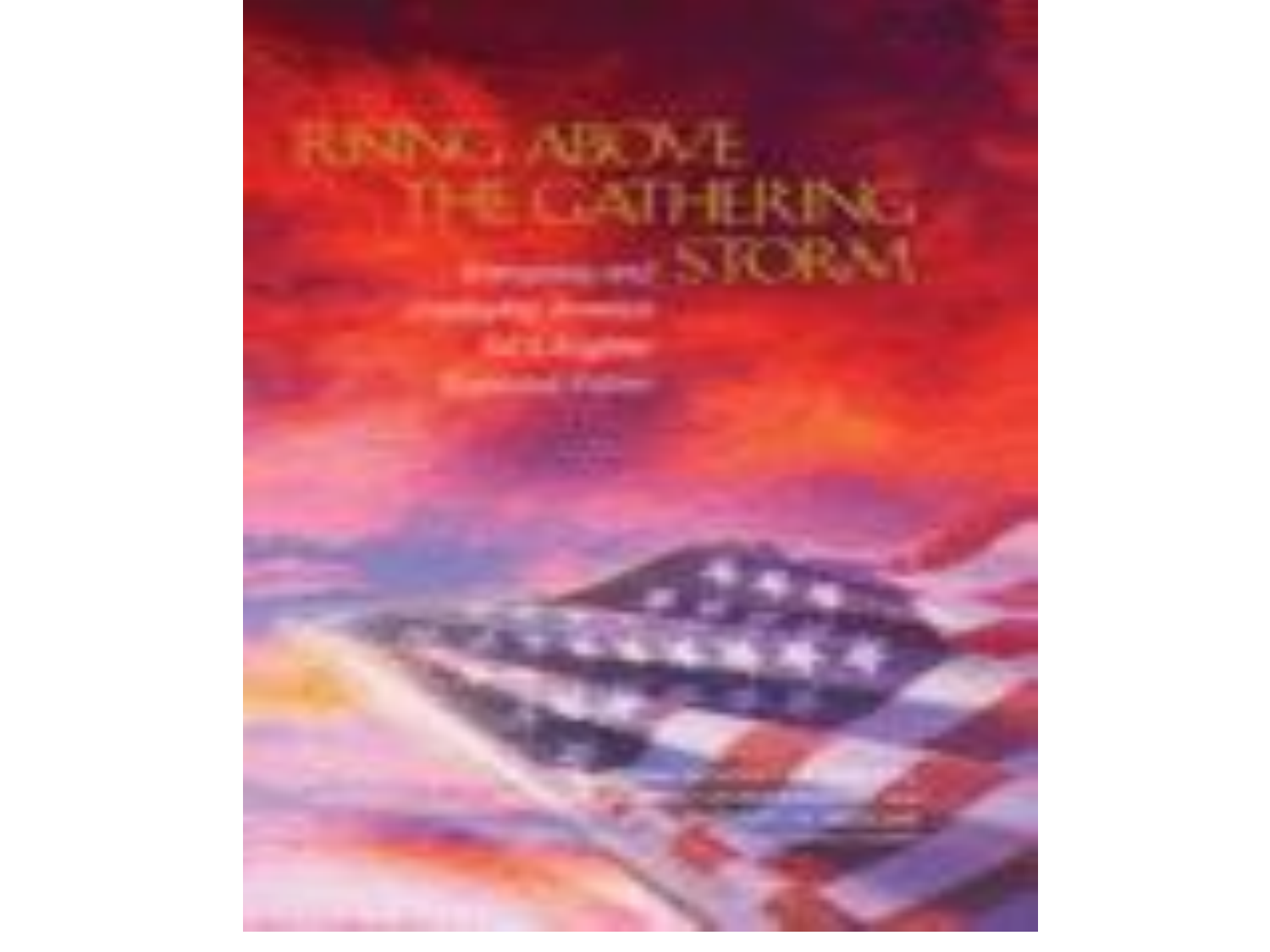